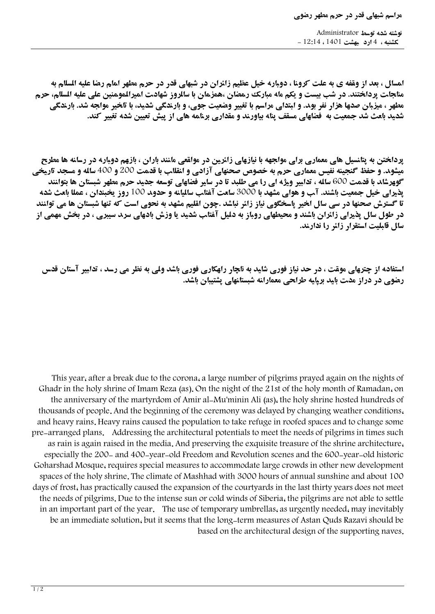**نوشته شده توسط Administrator يكشنبه ، 4 ارديبهشت 1401 ، 12:14 -** 

**امسال ، بعد از وقفه ی به علت کرونا ، دوباره خیل عظیم زائران در شبهای قدر در حرم مطهر امام رضا علیه السلام به مناجات پرداختند. در شب بیست و یکم ماه مبارک رمضان ،همزمان با سالروز شهادت امیرالمومنین علی علیه السلام، حرم مطهر ، میزبان صدها هزار نفر بود. و ابتدای مراسم با تغییر وضعیت جوی، و بارندگی شدید، با تاخیر مواجه شد. بارندگی شدید باعث شد جمعیت به فضاهای مسقف پناه بیاورند و مقداری برنامه های از پیش تعیین شده تغییر کند.**

**پرداختن به پتانسیل های معماری برای مواجهه با نیازهای زائرین در مواقعی مانند باران ، بازهم دوباره در رسانه ها مطرح میشود. و حفظ گنجینه نفیس معماری حرم به خصوص صحنهای آزادی و انقلاب با قدمت 200 و 400 ساله و مسجد تاریخی گوهرشاد با قدمت 600 ساله ، تدابیر ویژه ای را می طلبد تا در سایر فضاهای توسعه جدید حرم مطهر شبستان ها بتوانند پذیرای خیل جمعیت باشند. آب و هوای مشهد با 3000 ساعت آفتاب سالیانه و حدود 100 روز یخبندان ، عملا باعث شده تا گسترش صحنها در سی سال اخیر پاسخگوی نیاز زائر نباشد .چون اقلیم مشهد به نحوی است که تنها شبستان ها می توانند در طول سال پذیرای زائران باشند و محیطهای روباز به دلیل آفتاب شدید یا وزش بادهای سرد سیبری ، در بخش مهمی از سال قابلیت استقرار زائر را ندارند.**

**استفاده از چترهای موقت ، در حد نیاز فوری شاید به ناچار راهکاری فوری باشد ولی به نظر می رسد ، تدابیر آستان قدس رضوی در دراز مدت باید برپایه طراحی معمارانه شبستانهای پشتیبان باشد.**

This year, after a break due to the corona, a large number of pilgrims prayed again on the nights of Ghadr in the holy shrine of Imam Reza (as). On the night of the 21st of the holy month of Ramadan, on the anniversary of the martyrdom of Amir al-Mu'minin Ali (as), the holy shrine hosted hundreds of thousands of people. And the beginning of the ceremony was delayed by changing weather conditions. and heavy rains. Heavy rains caused the population to take refuge in roofed spaces and to change some pre-arranged plans. Addressing the architectural potentials to meet the needs of pilgrims in times such as rain is again raised in the media. And preserving the exquisite treasure of the shrine architecture. especially the 200- and 400-year-old Freedom and Revolution scenes and the 600-year-old historic Goharshad Mosque, requires special measures to accommodate large crowds in other new development spaces of the holy shrine. The climate of Mashhad with 3000 hours of annual sunshine and about 100 days of frost, has practically caused the expansion of the courtyards in the last thirty years does not meet the needs of pilgrims. Due to the intense sun or cold winds of Siberia, the pilgrims are not able to settle in an important part of the year. The use of temporary umbrellas, as urgently needed, may inevitably be an immediate solution, but it seems that the long-term measures of Astan Quds Razavi should be based on the architectural design of the supporting naves.